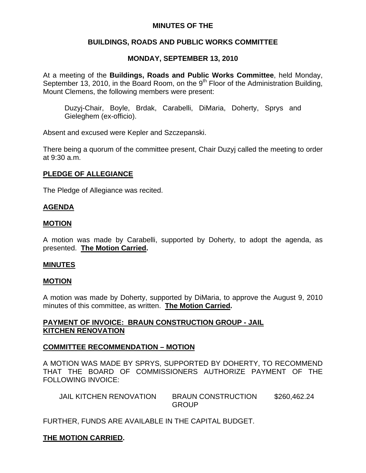## **MINUTES OF THE**

# **BUILDINGS, ROADS AND PUBLIC WORKS COMMITTEE**

# **MONDAY, SEPTEMBER 13, 2010**

At a meeting of the **Buildings, Roads and Public Works Committee**, held Monday, September 13, 2010, in the Board Room, on the 9<sup>th</sup> Floor of the Administration Building, Mount Clemens, the following members were present:

Duzyj-Chair, Boyle, Brdak, Carabelli, DiMaria, Doherty, Sprys and Gieleghem (ex-officio).

Absent and excused were Kepler and Szczepanski.

There being a quorum of the committee present, Chair Duzyj called the meeting to order at 9:30 a.m.

## **PLEDGE OF ALLEGIANCE**

The Pledge of Allegiance was recited.

## **AGENDA**

#### **MOTION**

A motion was made by Carabelli, supported by Doherty, to adopt the agenda, as presented. **The Motion Carried.** 

#### **MINUTES**

#### **MOTION**

A motion was made by Doherty, supported by DiMaria, to approve the August 9, 2010 minutes of this committee, as written. **The Motion Carried.** 

## **PAYMENT OF INVOICE: BRAUN CONSTRUCTION GROUP - JAIL KITCHEN RENOVATION**

## **COMMITTEE RECOMMENDATION – MOTION**

A MOTION WAS MADE BY SPRYS, SUPPORTED BY DOHERTY, TO RECOMMEND THAT THE BOARD OF COMMISSIONERS AUTHORIZE PAYMENT OF THE FOLLOWING INVOICE:

| JAIL KITCHEN RENOVATION | <b>BRAUN CONSTRUCTION</b> | \$260,462.24 |
|-------------------------|---------------------------|--------------|
|                         | <b>GROUP</b>              |              |

FURTHER, FUNDS ARE AVAILABLE IN THE CAPITAL BUDGET.

## **THE MOTION CARRIED.**